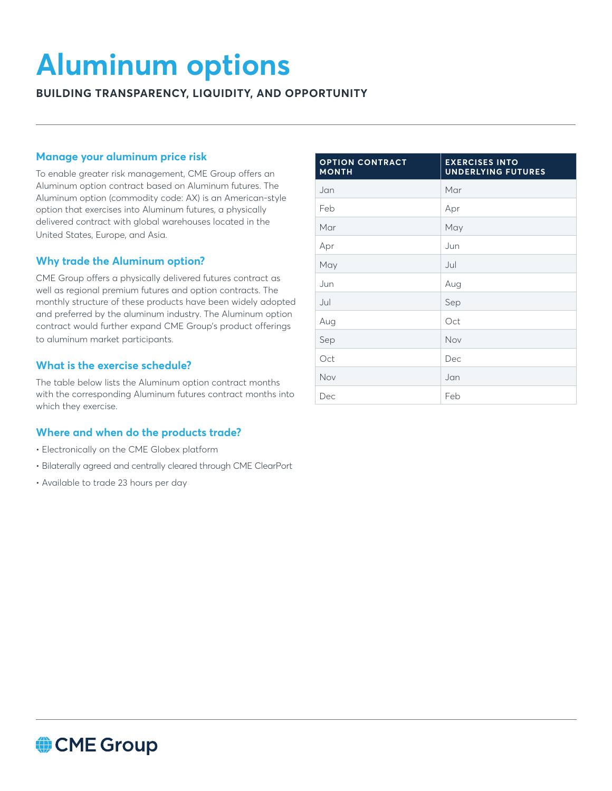# **Aluminum options**

**BUILDING TRANSPARENCY, LIQUIDITY, AND OPPORTUNITY**

## **Manage your aluminum price risk**

To enable greater risk management, CME Group offers an Aluminum option contract based on Aluminum futures. The Aluminum option (commodity code: AX) is an American-style option that exercises into Aluminum futures, a physically delivered contract with global warehouses located in the United States, Europe, and Asia.

### **Why trade the Aluminum option?**

CME Group offers a physically delivered futures contract as well as regional premium futures and option contracts. The monthly structure of these products have been widely adopted and preferred by the aluminum industry. The Aluminum option contract would further expand CME Group's product offerings to aluminum market participants.

# **What is the exercise schedule?**

The table below lists the Aluminum option contract months with the corresponding Aluminum futures contract months into which they exercise.

#### **Where and when do the products trade?**

- Electronically on the CME Globex platform
- Bilaterally agreed and centrally cleared through CME ClearPort
- Available to trade 23 hours per day

| <b>OPTION CONTRACT</b><br><b>MONTH</b> | <b>EXERCISES INTO</b><br><b>UNDERLYING FUTURES</b> |
|----------------------------------------|----------------------------------------------------|
| Jan                                    | Mar                                                |
| Feb                                    | Apr                                                |
| Mar                                    | May                                                |
| Apr                                    | Jun                                                |
| May                                    | Jul                                                |
| Jun                                    | Aug                                                |
| Jul                                    | Sep                                                |
| Aug                                    | Oct                                                |
| Sep                                    | Nov                                                |
| Oct                                    | Dec                                                |
| Nov                                    | Jan                                                |
| Dec                                    | Feb                                                |